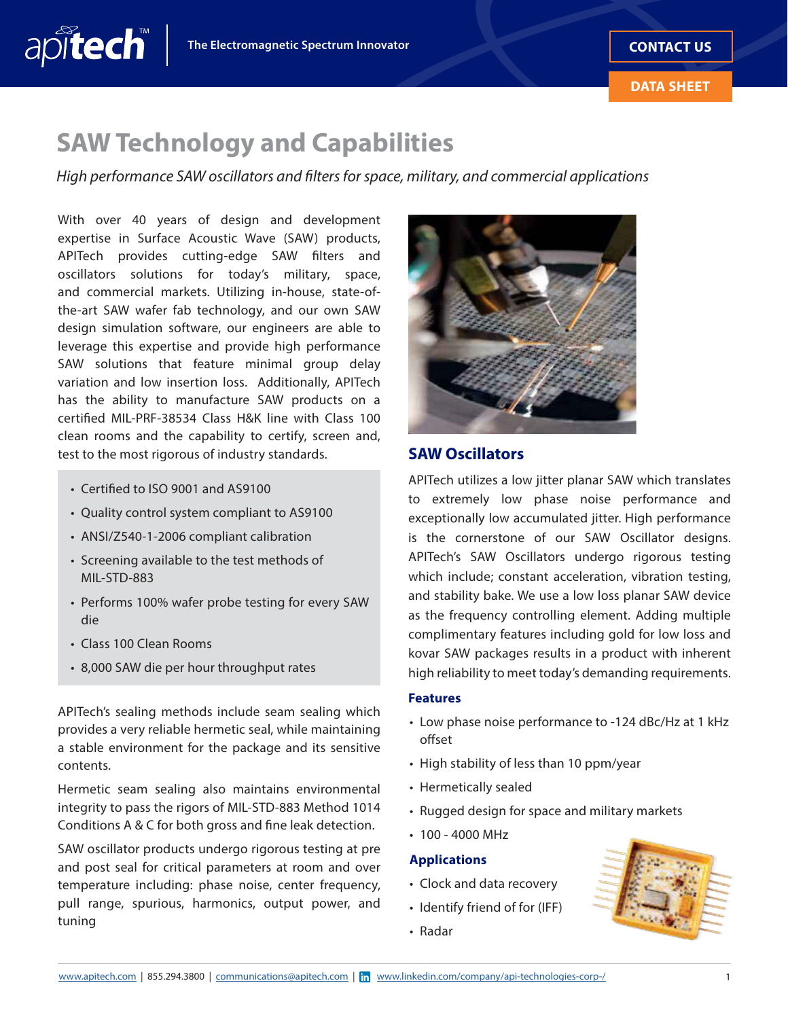## **SAW Technology and Capabilities**

*High performance SAW oscillators and filters for space, military, and commercial applications*

With over 40 years of design and development expertise in Surface Acoustic Wave (SAW) products, APITech provides cutting-edge SAW flters and oscillators solutions for today's military, space, and commercial markets. Utilizing in-house, state-ofthe-art SAW wafer fab technology, and our own SAW design simulation software, our engineers are able to leverage this expertise and provide high performance SAW solutions that feature minimal group delay variation and low insertion loss. Additionally, APITech has the ability to manufacture SAW products on a certifed MIL-PRF-38534 Class H&K line with Class 100 clean rooms and the capability to certify, screen and, test to the most rigorous of industry standards.

• Certifed to ISO 9001 and AS9100

apitech

- Quality control system compliant to AS9100
- ANSI/Z540-1-2006 compliant calibration
- Screening available to the test methods of MIL-STD-883
- Performs 100% wafer probe testing for every SAW die
- Class 100 Clean Rooms
- 8,000 SAW die per hour throughput rates

APITech's sealing methods include seam sealing which provides a very reliable hermetic seal, while maintaining a stable environment for the package and its sensitive contents.

Hermetic seam sealing also maintains environmental integrity to pass the rigors of MIL-STD-883 Method 1014 Conditions A & C for both gross and fne leak detection.

SAW oscillator products undergo rigorous testing at pre and post seal for critical parameters at room and over temperature including: phase noise, center frequency, pull range, spurious, harmonics, output power, and tuning



### **SAW Oscillators**

APITech utilizes a low jitter planar SAW which translates to extremely low phase noise performance and exceptionally low accumulated jitter. High performance is the cornerstone of our SAW Oscillator designs. APITech's SAW Oscillators undergo rigorous testing which include; constant acceleration, vibration testing, and stability bake. We use a low loss planar SAW device as the frequency controlling element. Adding multiple complimentary features including gold for low loss and kovar SAW packages results in a product with inherent high reliability to meet today's demanding requirements.

#### **Features**

- Low phase noise performance to -124 dBc/Hz at 1 kHz offset
- High stability of less than 10 ppm/year
- Hermetically sealed
- Rugged design for space and military markets
- 100 4000 MHz

### **Applications**

- Clock and data recovery
- Identify friend of for (IFF)
- Radar